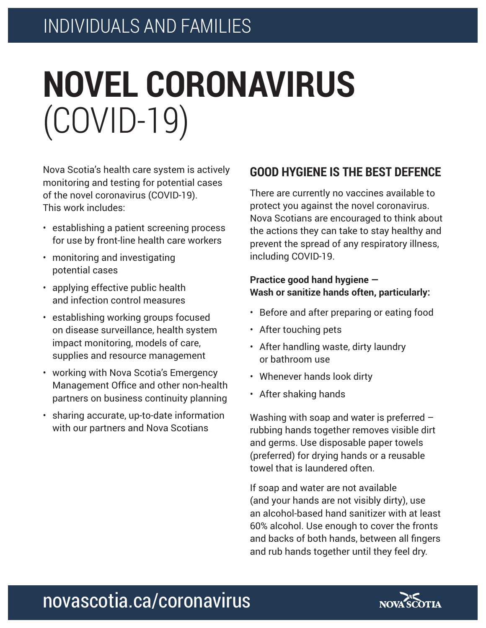# **NOVEL CORONAVIRUS** (COVID-19)

Nova Scotia's health care system is actively monitoring and testing for potential cases of the novel coronavirus (COVID-19). This work includes:

- establishing a patient screening process for use by front-line health care workers
- monitoring and investigating potential cases
- applying effective public health and infection control measures
- establishing working groups focused on disease surveillance, health system impact monitoring, models of care, supplies and resource management
- working with Nova Scotia's Emergency Management Office and other non-health partners on business continuity planning
- sharing accurate, up-to-date information with our partners and Nova Scotians

## **GOOD HYGIENE IS THE BEST DEFENCE**

There are currently no vaccines available to protect you against the novel coronavirus. Nova Scotians are encouraged to think about the actions they can take to stay healthy and prevent the spread of any respiratory illness, including COVID-19.

#### **Practice good hand hygiene — Wash or sanitize hands often, particularly:**

- Before and after preparing or eating food
- After touching pets
- After handling waste, dirty laundry or bathroom use
- Whenever hands look dirty
- After shaking hands

Washing with soap and water is preferred – rubbing hands together removes visible dirt and germs. Use disposable paper towels (preferred) for drying hands or a reusable towel that is laundered often.

If soap and water are not available (and your hands are not visibly dirty), use an alcohol-based hand sanitizer with at least 60% alcohol. Use enough to cover the fronts and backs of both hands, between all fingers and rub hands together until they feel dry.

# novascotia.ca/coronavirus